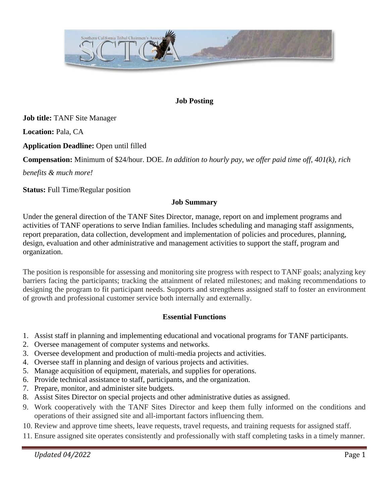

## **Job Posting**

**Job title:** TANF Site Manager

**Location:** Pala, CA

**Application Deadline:** Open until filled

**Compensation:** Minimum of \$24/hour. DOE. *In addition to hourly pay, we offer paid time off, 401(k), rich* 

*benefits & much more!*

**Status:** Full Time/Regular position

#### **Job Summary**

Under the general direction of the TANF Sites Director, manage, report on and implement programs and activities of TANF operations to serve Indian families. Includes scheduling and managing staff assignments, report preparation, data collection, development and implementation of policies and procedures, planning, design, evaluation and other administrative and management activities to support the staff, program and organization.

The position is responsible for assessing and monitoring site progress with respect to TANF goals; analyzing key barriers facing the participants; tracking the attainment of related milestones; and making recommendations to designing the program to fit participant needs. Supports and strengthens assigned staff to foster an environment of growth and professional customer service both internally and externally.

#### **Essential Functions**

- 1. Assist staff in planning and implementing educational and vocational programs for TANF participants.
- 2. Oversee management of computer systems and networks.
- 3. Oversee development and production of multi-media projects and activities.
- 4. Oversee staff in planning and design of various projects and activities.
- 5. Manage acquisition of equipment, materials, and supplies for operations.
- 6. Provide technical assistance to staff, participants, and the organization.
- 7. Prepare, monitor, and administer site budgets.
- 8. Assist Sites Director on special projects and other administrative duties as assigned.
- 9. Work cooperatively with the TANF Sites Director and keep them fully informed on the conditions and operations of their assigned site and all-important factors influencing them.
- 10. Review and approve time sheets, leave requests, travel requests, and training requests for assigned staff.
- 11. Ensure assigned site operates consistently and professionally with staff completing tasks in a timely manner.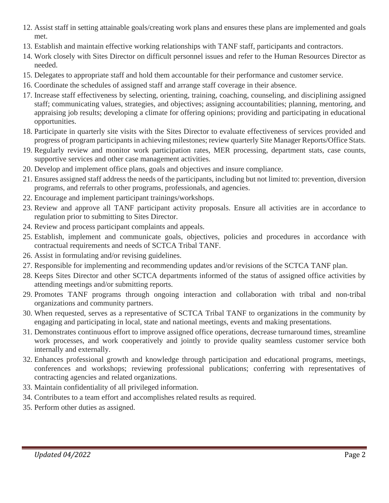- 12. Assist staff in setting attainable goals/creating work plans and ensures these plans are implemented and goals met.
- 13. Establish and maintain effective working relationships with TANF staff, participants and contractors.
- 14. Work closely with Sites Director on difficult personnel issues and refer to the Human Resources Director as needed.
- 15. Delegates to appropriate staff and hold them accountable for their performance and customer service.
- 16. Coordinate the schedules of assigned staff and arrange staff coverage in their absence.
- 17. Increase staff effectiveness by selecting, orienting, training, coaching, counseling, and disciplining assigned staff; communicating values, strategies, and objectives; assigning accountabilities; planning, mentoring, and appraising job results; developing a climate for offering opinions; providing and participating in educational opportunities.
- 18. Participate in quarterly site visits with the Sites Director to evaluate effectiveness of services provided and progress of program participants in achieving milestones; review quarterly Site Manager Reports/Office Stats.
- 19. Regularly review and monitor work participation rates, MER processing, department stats, case counts, supportive services and other case management activities.
- 20. Develop and implement office plans, goals and objectives and insure compliance.
- 21. Ensures assigned staff address the needs of the participants, including but not limited to: prevention, diversion programs, and referrals to other programs, professionals, and agencies.
- 22. Encourage and implement participant trainings/workshops.
- 23. Review and approve all TANF participant activity proposals. Ensure all activities are in accordance to regulation prior to submitting to Sites Director.
- 24. Review and process participant complaints and appeals.
- 25. Establish, implement and communicate goals, objectives, policies and procedures in accordance with contractual requirements and needs of SCTCA Tribal TANF.
- 26. Assist in formulating and/or revising guidelines.
- 27. Responsible for implementing and recommending updates and/or revisions of the SCTCA TANF plan.
- 28. Keeps Sites Director and other SCTCA departments informed of the status of assigned office activities by attending meetings and/or submitting reports.
- 29. Promotes TANF programs through ongoing interaction and collaboration with tribal and non-tribal organizations and community partners.
- 30. When requested, serves as a representative of SCTCA Tribal TANF to organizations in the community by engaging and participating in local, state and national meetings, events and making presentations.
- 31. Demonstrates continuous effort to improve assigned office operations, decrease turnaround times, streamline work processes, and work cooperatively and jointly to provide quality seamless customer service both internally and externally.
- 32. Enhances professional growth and knowledge through participation and educational programs, meetings, conferences and workshops; reviewing professional publications; conferring with representatives of contracting agencies and related organizations.
- 33. Maintain confidentiality of all privileged information.
- 34. Contributes to a team effort and accomplishes related results as required.
- 35. Perform other duties as assigned.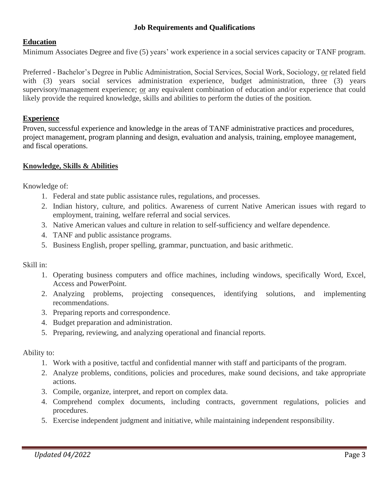### **Job Requirements and Qualifications**

## **Education**

Minimum Associates Degree and five (5) years' work experience in a social services capacity or TANF program.

Preferred - Bachelor's Degree in Public Administration, Social Services, Social Work, Sociology, or related field with (3) years social services administration experience, budget administration, three (3) years supervisory/management experience; or any equivalent combination of education and/or experience that could likely provide the required knowledge, skills and abilities to perform the duties of the position.

### **Experience**

Proven, successful experience and knowledge in the areas of TANF administrative practices and procedures, project management, program planning and design, evaluation and analysis, training, employee management, and fiscal operations.

#### **Knowledge, Skills & Abilities**

Knowledge of:

- 1. Federal and state public assistance rules, regulations, and processes.
- 2. Indian history, culture, and politics. Awareness of current Native American issues with regard to employment, training, welfare referral and social services.
- 3. Native American values and culture in relation to self-sufficiency and welfare dependence.
- 4. TANF and public assistance programs.
- 5. Business English, proper spelling, grammar, punctuation, and basic arithmetic.

Skill in:

- 1. Operating business computers and office machines, including windows, specifically Word, Excel, Access and PowerPoint.
- 2. Analyzing problems, projecting consequences, identifying solutions, and implementing recommendations.
- 3. Preparing reports and correspondence.
- 4. Budget preparation and administration.
- 5. Preparing, reviewing, and analyzing operational and financial reports.

#### Ability to:

- 1. Work with a positive, tactful and confidential manner with staff and participants of the program.
- 2. Analyze problems, conditions, policies and procedures, make sound decisions, and take appropriate actions.
- 3. Compile, organize, interpret, and report on complex data.
- 4. Comprehend complex documents, including contracts, government regulations, policies and procedures.
- 5. Exercise independent judgment and initiative, while maintaining independent responsibility.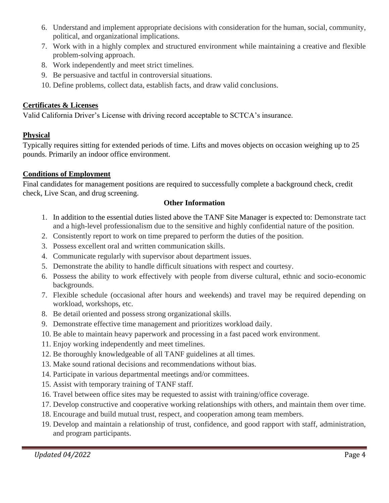- 6. Understand and implement appropriate decisions with consideration for the human, social, community, political, and organizational implications.
- 7. Work with in a highly complex and structured environment while maintaining a creative and flexible problem-solving approach.
- 8. Work independently and meet strict timelines.
- 9. Be persuasive and tactful in controversial situations.
- 10. Define problems, collect data, establish facts, and draw valid conclusions.

## **Certificates & Licenses**

Valid California Driver's License with driving record acceptable to SCTCA's insurance.

## **Physical**

Typically requires sitting for extended periods of time. Lifts and moves objects on occasion weighing up to 25 pounds. Primarily an indoor office environment.

## **Conditions of Employment**

Final candidates for management positions are required to successfully complete a background check, credit check, Live Scan, and drug screening.

## **Other Information**

- 1. In addition to the essential duties listed above the TANF Site Manager is expected to: Demonstrate tact and a high-level professionalism due to the sensitive and highly confidential nature of the position.
- 2. Consistently report to work on time prepared to perform the duties of the position.
- 3. Possess excellent oral and written communication skills.
- 4. Communicate regularly with supervisor about department issues.
- 5. Demonstrate the ability to handle difficult situations with respect and courtesy.
- 6. Possess the ability to work effectively with people from diverse cultural, ethnic and socio-economic backgrounds.
- 7. Flexible schedule (occasional after hours and weekends) and travel may be required depending on workload, workshops, etc.
- 8. Be detail oriented and possess strong organizational skills.
- 9. Demonstrate effective time management and prioritizes workload daily.
- 10. Be able to maintain heavy paperwork and processing in a fast paced work environment.
- 11. Enjoy working independently and meet timelines.
- 12. Be thoroughly knowledgeable of all TANF guidelines at all times.
- 13. Make sound rational decisions and recommendations without bias.
- 14. Participate in various departmental meetings and/or committees.
- 15. Assist with temporary training of TANF staff.
- 16. Travel between office sites may be requested to assist with training/office coverage.
- 17. Develop constructive and cooperative working relationships with others, and maintain them over time.
- 18. Encourage and build mutual trust, respect, and cooperation among team members.
- 19. Develop and maintain a relationship of trust, confidence, and good rapport with staff, administration, and program participants.